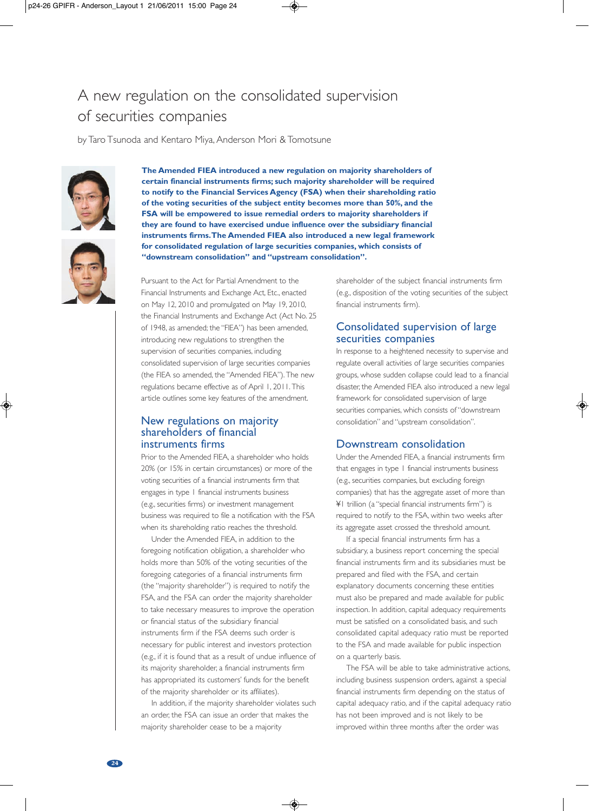# A new regulation on the consolidated supervision of securities companies

by Taro Tsunoda and Kentaro Miya, Anderson Mori & Tomotsune



**certain financial instruments firms; such majority shareholder will be required to notify to the Financial Services Agency (FSA) when their shareholding ratio of the voting securities of the subject entity becomes more than 50%, and the FSA will be empowered to issue remedial orders to majority shareholders if they are found to have exercised undue influence over the subsidiary financial instruments firms.The Amended FIEA also introduced a new legal framework for consolidated regulation of large securities companies, which consists of "downstream consolidation" and "upstream consolidation".**

**The Amended FIEA introduced a new regulation on majority shareholders of**

Pursuant to the Act for Partial Amendment to the Financial Instruments and Exchange Act, Etc., enacted on May 12, 2010 and promulgated on May 19, 2010, the Financial Instruments and Exchange Act (Act No. 25 of 1948, as amended; the "FIEA") has been amended, introducing new regulations to strengthen the supervision of securities companies, including consolidated supervision of large securities companies (the FIEA so amended, the "Amended FIEA"). The new regulations became effective as of April 1, 2011. This article outlines some key features of the amendment.

## New regulations on majority shareholders of financial instruments firms

Prior to the Amended FIEA, a shareholder who holds 20% (or 15% in certain circumstances) or more of the voting securities of a financial instruments firm that engages in type 1 financial instruments business (e.g., securities firms) or investment management business was required to file a notification with the FSA when its shareholding ratio reaches the threshold.

Under the Amended FIEA, in addition to the foregoing notification obligation, a shareholder who holds more than 50% of the voting securities of the foregoing categories of a financial instruments firm (the "majority shareholder") is required to notify the FSA, and the FSA can order the majority shareholder to take necessary measures to improve the operation or financial status of the subsidiary financial instruments firm if the FSA deems such order is necessary for public interest and investors protection (e.g., if it is found that as a result of undue influence of its majority shareholder, a financial instruments firm has appropriated its customers' funds for the benefit of the majority shareholder or its affiliates).

In addition, if the majority shareholder violates such an order, the FSA can issue an order that makes the majority shareholder cease to be a majority

shareholder of the subject financial instruments firm (e.g., disposition of the voting securities of the subject financial instruments firm).

# Consolidated supervision of large securities companies

In response to a heightened necessity to supervise and regulate overall activities of large securities companies groups, whose sudden collapse could lead to a financial disaster, the Amended FIEA also introduced a new legal framework for consolidated supervision of large securities companies, which consists of"downstream consolidation" and "upstream consolidation".

#### Downstream consolidation

Under the Amended FIEA, a financial instruments firm that engages in type 1 financial instruments business (e.g., securities companies, but excluding foreign companies) that has the aggregate asset of more than ¥1 trillion (a "special financial instruments firm") is required to notify to the FSA, within two weeks after its aggregate asset crossed the threshold amount.

If a special financial instruments firm has a subsidiary, a business report concerning the special financial instruments firm and its subsidiaries must be prepared and filed with the FSA, and certain explanatory documents concerning these entities must also be prepared and made available for public inspection. In addition, capital adequacy requirements must be satisfied on a consolidated basis, and such consolidated capital adequacy ratio must be reported to the FSA and made available for public inspection on a quarterly basis.

The FSA will be able to take administrative actions, including business suspension orders, against a special financial instruments firm depending on the status of capital adequacy ratio, and if the capital adequacy ratio has not been improved and is not likely to be improved within three months after the order was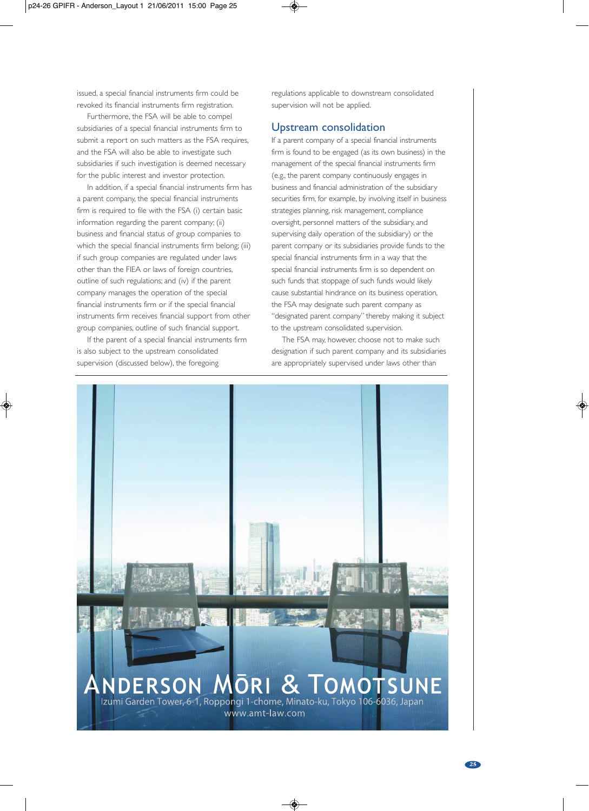issued, a special financial instruments firm could be revoked its financial instruments firm registration.

Furthermore, the FSA will be able to compel subsidiaries of a special financial instruments firm to submit a report on such matters as the FSA requires, and the FSA will also be able to investigate such subsidiaries if such investigation is deemed necessary for the public interest and investor protection.

In addition, if a special financial instruments firm has a parent company, the special financial instruments firm is required to file with the FSA (i) certain basic information regarding the parent company; (ii) business and financial status of group companies to which the special financial instruments firm belong; (iii) if such group companies are regulated under laws other than the FIEA or laws of foreign countries, outline of such regulations; and (iv) if the parent company manages the operation of the special financial instruments firm or if the special financial instruments firm receives financial support from other group companies, outline of such financial support.

If the parent of a special financial instruments firm is also subject to the upstream consolidated supervision (discussed below), the foregoing

regulations applicable to downstream consolidated supervision will not be applied.

## Upstream consolidation

If a parent company of a special financial instruments firm is found to be engaged (as its own business) in the management of the special financial instruments firm (e.g., the parent company continuously engages in business and financial administration of the subsidiary securities firm, for example, by involving itself in business strategies planning, risk management, compliance oversight, personnel matters of the subsidiary, and supervising daily operation of the subsidiary) or the parent company or its subsidiaries provide funds to the special financial instruments firm in a way that the special financial instruments firm is so dependent on such funds that stoppage of such funds would likely cause substantial hindrance on its business operation, the FSA may designate such parent company as "designated parent company" thereby making it subject to the upstream consolidated supervision.

The FSA may, however, choose not to make such designation if such parent company and its subsidiaries are appropriately supervised under laws other than